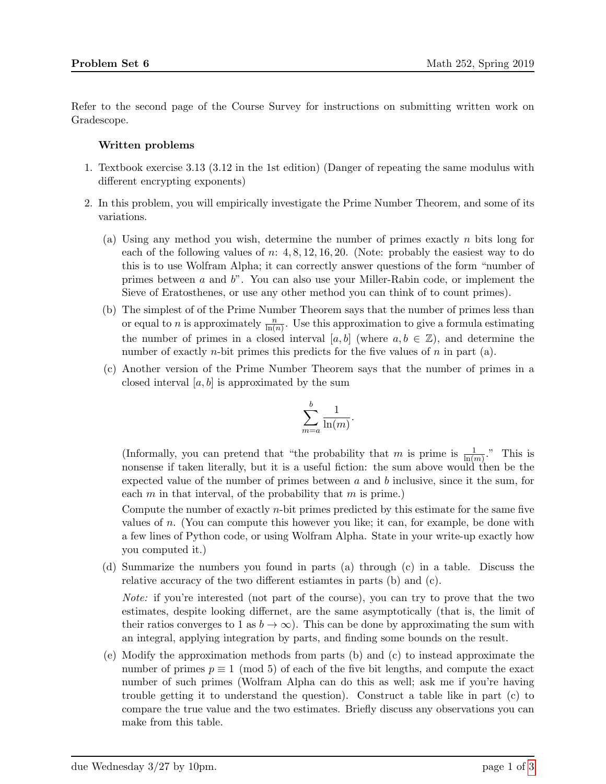Refer to the second page of the Course Survey for instructions on submitting written work on Gradescope.

## Written problems

- 1. Textbook exercise 3.13 (3.12 in the 1st edition) (Danger of repeating the same modulus with different encrypting exponents)
- 2. In this problem, you will empirically investigate the Prime Number Theorem, and some of its variations.
	- (a) Using any method you wish, determine the number of primes exactly  $n$  bits long for each of the following values of  $n: 4, 8, 12, 16, 20$ . (Note: probably the easiest way to do this is to use Wolfram Alpha; it can correctly answer questions of the form "number of primes between  $\alpha$  and  $b$ ". You can also use your Miller-Rabin code, or implement the Sieve of Eratosthenes, or use any other method you can think of to count primes).
	- (b) The simplest of of the Prime Number Theorem says that the number of primes less than or equal to *n* is approximately  $\frac{n}{\ln(n)}$ . Use this approximation to give a formula estimating the number of primes in a closed interval [a, b] (where  $a, b \in \mathbb{Z}$ ), and determine the number of exactly *n*-bit primes this predicts for the five values of  $n$  in part (a).
	- (c) Another version of the Prime Number Theorem says that the number of primes in a closed interval  $[a, b]$  is approximated by the sum

$$
\sum_{m=a}^{b} \frac{1}{\ln(m)}.
$$

(Informally, you can pretend that "the probability that m is prime is  $\frac{1}{\ln(m)}$ ." This is nonsense if taken literally, but it is a useful fiction: the sum above would then be the expected value of the number of primes between  $a$  and  $b$  inclusive, since it the sum, for each  $m$  in that interval, of the probability that  $m$  is prime.)

Compute the number of exactly n-bit primes predicted by this estimate for the same five values of  $n$ . (You can compute this however you like; it can, for example, be done with a few lines of Python code, or using Wolfram Alpha. State in your write-up exactly how you computed it.)

(d) Summarize the numbers you found in parts (a) through (c) in a table. Discuss the relative accuracy of the two different estiamtes in parts (b) and (c).

Note: if you're interested (not part of the course), you can try to prove that the two estimates, despite looking differnet, are the same asymptotically (that is, the limit of their ratios converges to 1 as  $b \to \infty$ ). This can be done by approximating the sum with an integral, applying integration by parts, and finding some bounds on the result.

(e) Modify the approximation methods from parts (b) and (c) to instead approximate the number of primes  $p \equiv 1 \pmod{5}$  of each of the five bit lengths, and compute the exact number of such primes (Wolfram Alpha can do this as well; ask me if you're having trouble getting it to understand the question). Construct a table like in part (c) to compare the true value and the two estimates. Briefly discuss any observations you can make from this table.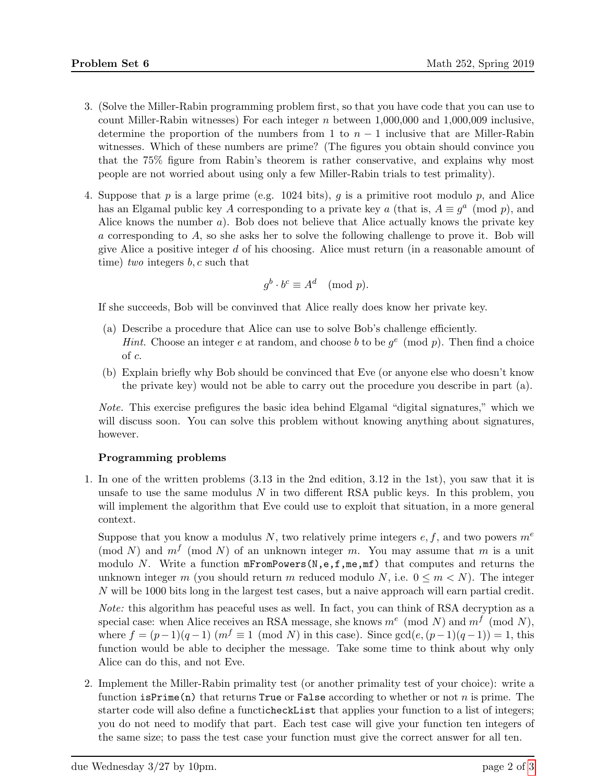- 3. (Solve the Miller-Rabin programming problem first, so that you have code that you can use to count Miller-Rabin witnesses) For each integer  $n$  between 1,000,000 and 1,000,009 inclusive, determine the proportion of the numbers from 1 to  $n-1$  inclusive that are Miller-Rabin witnesses. Which of these numbers are prime? (The figures you obtain should convince you that the 75% figure from Rabin's theorem is rather conservative, and explains why most people are not worried about using only a few Miller-Rabin trials to test primality).
- 4. Suppose that p is a large prime (e.g. 1024 bits), q is a primitive root modulo p, and Alice has an Elgamal public key A corresponding to a private key a (that is,  $A \equiv g^a \pmod{p}$ , and Alice knows the number a). Bob does not believe that Alice actually knows the private key a corresponding to A, so she asks her to solve the following challenge to prove it. Bob will give Alice a positive integer d of his choosing. Alice must return (in a reasonable amount of time) two integers  $b, c$  such that

$$
g^b \cdot b^c \equiv A^d \pmod{p}.
$$

If she succeeds, Bob will be convinved that Alice really does know her private key.

- (a) Describe a procedure that Alice can use to solve Bob's challenge efficiently. *Hint.* Choose an integer e at random, and choose b to be  $g^e \pmod{p}$ . Then find a choice of c.
- (b) Explain briefly why Bob should be convinced that Eve (or anyone else who doesn't know the private key) would not be able to carry out the procedure you describe in part (a).

Note. This exercise prefigures the basic idea behind Elgamal "digital signatures," which we will discuss soon. You can solve this problem without knowing anything about signatures, however.

## Programming problems

1. In one of the written problems (3.13 in the 2nd edition, 3.12 in the 1st), you saw that it is unsafe to use the same modulus  $N$  in two different RSA public keys. In this problem, you will implement the algorithm that Eve could use to exploit that situation, in a more general context.

Suppose that you know a modulus N, two relatively prime integers  $e, f$ , and two powers  $m<sup>e</sup>$ (mod N) and  $m<sup>f</sup>$  (mod N) of an unknown integer m. You may assume that m is a unit modulo N. Write a function  $mFromPowers(N, e, f, me, mf)$  that computes and returns the unknown integer m (you should return m reduced modulo N, i.e.  $0 \le m \le N$ ). The integer N will be 1000 bits long in the largest test cases, but a naive approach will earn partial credit.

Note: this algorithm has peaceful uses as well. In fact, you can think of RSA decryption as a special case: when Alice receives an RSA message, she knows  $m^e \pmod{N}$  and  $m^f \pmod{N}$ , where  $f = (p-1)(q-1)$   $(m^f \equiv 1 \pmod{N}$  in this case). Since  $gcd(e,(p-1)(q-1)) = 1$ , this function would be able to decipher the message. Take some time to think about why only Alice can do this, and not Eve.

2. Implement the Miller-Rabin primality test (or another primality test of your choice): write a function  $isPrime(n)$  that returns True or False according to whether or not n is prime. The starter code will also define a functicheckList that applies your function to a list of integers; you do not need to modify that part. Each test case will give your function ten integers of the same size; to pass the test case your function must give the correct answer for all ten.